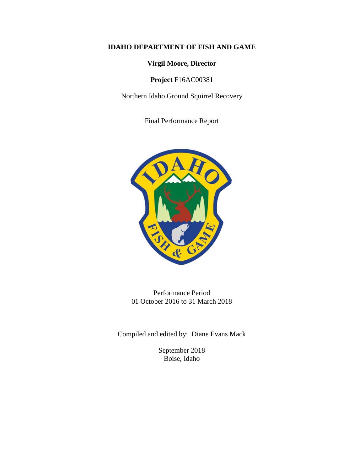# **IDAHO DEPARTMENT OF FISH AND GAME**

**Virgil Moore, Director**

**Project** F16AC00381

Northern Idaho Ground Squirrel Recovery

Final Performance Report



Performance Period 01 October 2016 to 31 March 2018

Compiled and edited by: Diane Evans Mack

September 2018 Boise, Idaho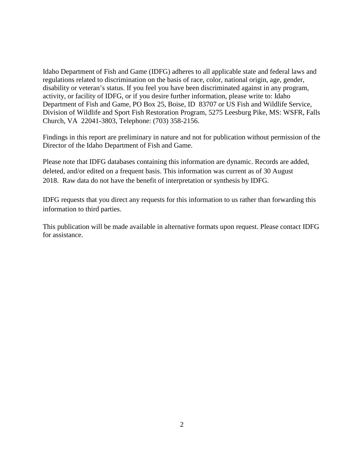Idaho Department of Fish and Game (IDFG) adheres to all applicable state and federal laws and regulations related to discrimination on the basis of race, color, national origin, age, gender, disability or veteran's status. If you feel you have been discriminated against in any program, activity, or facility of IDFG, or if you desire further information, please write to: Idaho Department of Fish and Game, PO Box 25, Boise, ID 83707 or US Fish and Wildlife Service, Division of Wildlife and Sport Fish Restoration Program, 5275 Leesburg Pike, MS: WSFR, Falls Church, VA 22041-3803, Telephone: (703) 358-2156.

Findings in this report are preliminary in nature and not for publication without permission of the Director of the Idaho Department of Fish and Game.

Please note that IDFG databases containing this information are dynamic. Records are added, deleted, and/or edited on a frequent basis. This information was current as of 30 August 2018. Raw data do not have the benefit of interpretation or synthesis by IDFG.

IDFG requests that you direct any requests for this information to us rather than forwarding this information to third parties.

This publication will be made available in alternative formats upon request. Please contact IDFG for assistance.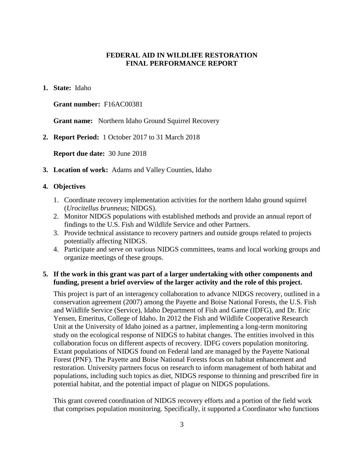# **FEDERAL AID IN WILDLIFE RESTORATION FINAL PERFORMANCE REPORT**

## **1. State:** Idaho

## **Grant number:** F16AC00381

**Grant name:** Northern Idaho Ground Squirrel Recovery

**2. Report Period:** 1 October 2017 to 31 March 2018

**Report due date:** 30 June 2018

**3. Location of work:** Adams and Valley Counties, Idaho

### **4. Objectives**

- 1. Coordinate recovery implementation activities for the northern Idaho ground squirrel (*Urocitellus brunneus*; NIDGS).
- 2. Monitor NIDGS populations with established methods and provide an annual report of findings to the U.S. Fish and Wildlife Service and other Partners.
- 3. Provide technical assistance to recovery partners and outside groups related to projects potentially affecting NIDGS.
- 4. Participate and serve on various NIDGS committees, teams and local working groups and organize meetings of these groups.

## **5. If the work in this grant was part of a larger undertaking with other components and funding, present a brief overview of the larger activity and the role of this project.**

This project is part of an interagency collaboration to advance NIDGS recovery, outlined in a conservation agreement (2007) among the Payette and Boise National Forests, the U.S. Fish and Wildlife Service (Service), Idaho Department of Fish and Game (IDFG), and Dr. Eric Yensen, Emeritus, College of Idaho. In 2012 the Fish and Wildlife Cooperative Research Unit at the University of Idaho joined as a partner, implementing a long-term monitoring study on the ecological response of NIDGS to habitat changes. The entities involved in this collaboration focus on different aspects of recovery. IDFG covers population monitoring. Extant populations of NIDGS found on Federal land are managed by the Payette National Forest (PNF). The Payette and Boise National Forests focus on habitat enhancement and restoration. University partners focus on research to inform management of both habitat and populations, including such topics as diet, NIDGS response to thinning and prescribed fire in potential habitat, and the potential impact of plague on NIDGS populations.

This grant covered coordination of NIDGS recovery efforts and a portion of the field work that comprises population monitoring. Specifically, it supported a Coordinator who functions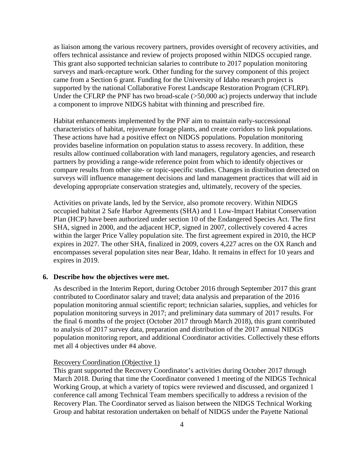as liaison among the various recovery partners, provides oversight of recovery activities, and offers technical assistance and review of projects proposed within NIDGS occupied range. This grant also supported technician salaries to contribute to 2017 population monitoring surveys and mark-recapture work. Other funding for the survey component of this project came from a Section 6 grant. Funding for the University of Idaho research project is supported by the national Collaborative Forest Landscape Restoration Program (CFLRP). Under the CFLRP the PNF has two broad-scale (>50,000 ac) projects underway that include a component to improve NIDGS habitat with thinning and prescribed fire.

Habitat enhancements implemented by the PNF aim to maintain early-successional characteristics of habitat, rejuvenate forage plants, and create corridors to link populations. These actions have had a positive effect on NIDGS populations. Population monitoring provides baseline information on population status to assess recovery. In addition, these results allow continued collaboration with land managers, regulatory agencies, and research partners by providing a range-wide reference point from which to identify objectives or compare results from other site- or topic-specific studies. Changes in distribution detected on surveys will influence management decisions and land management practices that will aid in developing appropriate conservation strategies and, ultimately, recovery of the species.

Activities on private lands, led by the Service, also promote recovery. Within NIDGS occupied habitat 2 Safe Harbor Agreements (SHA) and 1 Low-Impact Habitat Conservation Plan (HCP) have been authorized under section 10 of the Endangered Species Act. The first SHA, signed in 2000, and the adjacent HCP, signed in 2007, collectively covered 4 acres within the larger Price Valley population site. The first agreement expired in 2010, the HCP expires in 2027. The other SHA, finalized in 2009, covers 4,227 acres on the OX Ranch and encompasses several population sites near Bear, Idaho. It remains in effect for 10 years and expires in 2019.

## **6. Describe how the objectives were met.**

As described in the Interim Report, during October 2016 through September 2017 this grant contributed to Coordinator salary and travel; data analysis and preparation of the 2016 population monitoring annual scientific report; technician salaries, supplies, and vehicles for population monitoring surveys in 2017; and preliminary data summary of 2017 results. For the final 6 months of the project (October 2017 through March 2018), this grant contributed to analysis of 2017 survey data, preparation and distribution of the 2017 annual NIDGS population monitoring report, and additional Coordinator activities. Collectively these efforts met all 4 objectives under #4 above.

## Recovery Coordination (Objective 1)

This grant supported the Recovery Coordinator's activities during October 2017 through March 2018. During that time the Coordinator convened 1 meeting of the NIDGS Technical Working Group, at which a variety of topics were reviewed and discussed, and organized 1 conference call among Technical Team members specifically to address a revision of the Recovery Plan. The Coordinator served as liaison between the NIDGS Technical Working Group and habitat restoration undertaken on behalf of NIDGS under the Payette National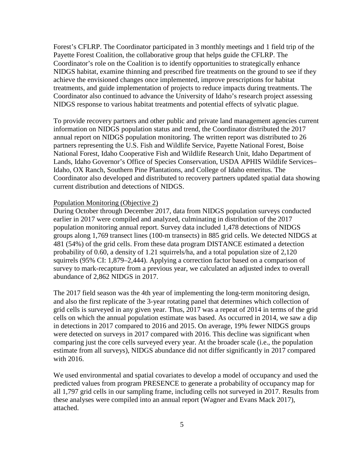Forest's CFLRP. The Coordinator participated in 3 monthly meetings and 1 field trip of the Payette Forest Coalition, the collaborative group that helps guide the CFLRP. The Coordinator's role on the Coalition is to identify opportunities to strategically enhance NIDGS habitat, examine thinning and prescribed fire treatments on the ground to see if they achieve the envisioned changes once implemented, improve prescriptions for habitat treatments, and guide implementation of projects to reduce impacts during treatments. The Coordinator also continued to advance the University of Idaho's research project assessing NIDGS response to various habitat treatments and potential effects of sylvatic plague.

To provide recovery partners and other public and private land management agencies current information on NIDGS population status and trend, the Coordinator distributed the 2017 annual report on NIDGS population monitoring. The written report was distributed to 26 partners representing the U.S. Fish and Wildlife Service, Payette National Forest, Boise National Forest, Idaho Cooperative Fish and Wildlife Research Unit, Idaho Department of Lands, Idaho Governor's Office of Species Conservation, USDA APHIS Wildlife Services– Idaho, OX Ranch, Southern Pine Plantations, and College of Idaho emeritus. The Coordinator also developed and distributed to recovery partners updated spatial data showing current distribution and detections of NIDGS.

## Population Monitoring (Objective 2)

During October through December 2017, data from NIDGS population surveys conducted earlier in 2017 were compiled and analyzed, culminating in distribution of the 2017 population monitoring annual report. Survey data included 1,478 detections of NIDGS groups along 1,769 transect lines (100-m transects) in 885 grid cells. We detected NIDGS at 481 (54%) of the grid cells. From these data program DISTANCE estimated a detection probability of 0.60, a density of 1.21 squirrels/ha, and a total population size of 2,120 squirrels (95% CI: 1,879–2,444). Applying a correction factor based on a comparison of survey to mark-recapture from a previous year, we calculated an adjusted index to overall abundance of 2,862 NIDGS in 2017.

The 2017 field season was the 4th year of implementing the long-term monitoring design, and also the first replicate of the 3-year rotating panel that determines which collection of grid cells is surveyed in any given year. Thus, 2017 was a repeat of 2014 in terms of the grid cells on which the annual population estimate was based. As occurred in 2014, we saw a dip in detections in 2017 compared to 2016 and 2015. On average, 19% fewer NIDGS groups were detected on surveys in 2017 compared with 2016. This decline was significant when comparing just the core cells surveyed every year. At the broader scale (i.e., the population estimate from all surveys), NIDGS abundance did not differ significantly in 2017 compared with 2016.

We used environmental and spatial covariates to develop a model of occupancy and used the predicted values from program PRESENCE to generate a probability of occupancy map for all 1,797 grid cells in our sampling frame, including cells not surveyed in 2017. Results from these analyses were compiled into an annual report (Wagner and Evans Mack 2017), attached.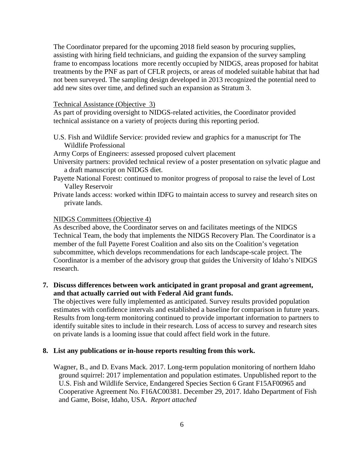The Coordinator prepared for the upcoming 2018 field season by procuring supplies, assisting with hiring field technicians, and guiding the expansion of the survey sampling frame to encompass locations more recently occupied by NIDGS, areas proposed for habitat treatments by the PNF as part of CFLR projects, or areas of modeled suitable habitat that had not been surveyed. The sampling design developed in 2013 recognized the potential need to add new sites over time, and defined such an expansion as Stratum 3.

## Technical Assistance (Objective 3)

As part of providing oversight to NIDGS-related activities, the Coordinator provided technical assistance on a variety of projects during this reporting period.

U.S. Fish and Wildlife Service: provided review and graphics for a manuscript for The Wildlife Professional

Army Corps of Engineers: assessed proposed culvert placement

- University partners: provided technical review of a poster presentation on sylvatic plague and a draft manuscript on NIDGS diet.
- Payette National Forest: continued to monitor progress of proposal to raise the level of Lost Valley Reservoir
- Private lands access: worked within IDFG to maintain access to survey and research sites on private lands.

### NIDGS Committees (Objective 4)

As described above, the Coordinator serves on and facilitates meetings of the NIDGS Technical Team, the body that implements the NIDGS Recovery Plan. The Coordinator is a member of the full Payette Forest Coalition and also sits on the Coalition's vegetation subcommittee, which develops recommendations for each landscape-scale project. The Coordinator is a member of the advisory group that guides the University of Idaho's NIDGS research.

# **7. Discuss differences between work anticipated in grant proposal and grant agreement, and that actually carried out with Federal Aid grant funds.**

The objectives were fully implemented as anticipated. Survey results provided population estimates with confidence intervals and established a baseline for comparison in future years. Results from long-term monitoring continued to provide important information to partners to identify suitable sites to include in their research. Loss of access to survey and research sites on private lands is a looming issue that could affect field work in the future.

## **8. List any publications or in-house reports resulting from this work.**

Wagner, B., and D. Evans Mack. 2017. Long-term population monitoring of northern Idaho ground squirrel: 2017 implementation and population estimates. Unpublished report to the U.S. Fish and Wildlife Service, Endangered Species Section 6 Grant F15AF00965 and Cooperative Agreement No. F16AC00381. December 29, 2017. Idaho Department of Fish and Game, Boise, Idaho, USA. *Report attached*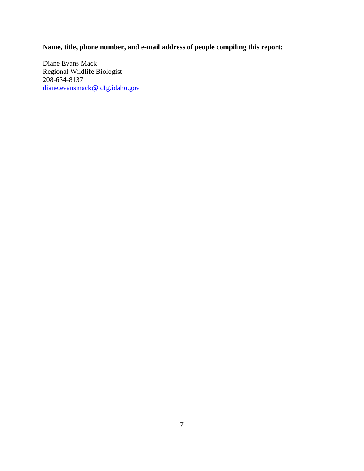**Name, title, phone number, and e-mail address of people compiling this report:**

Diane Evans Mack Regional Wildlife Biologist 208-634-8137 [diane.evansmack@idfg.idaho.gov](mailto:diane.evansmack@idfg.idaho.gov)